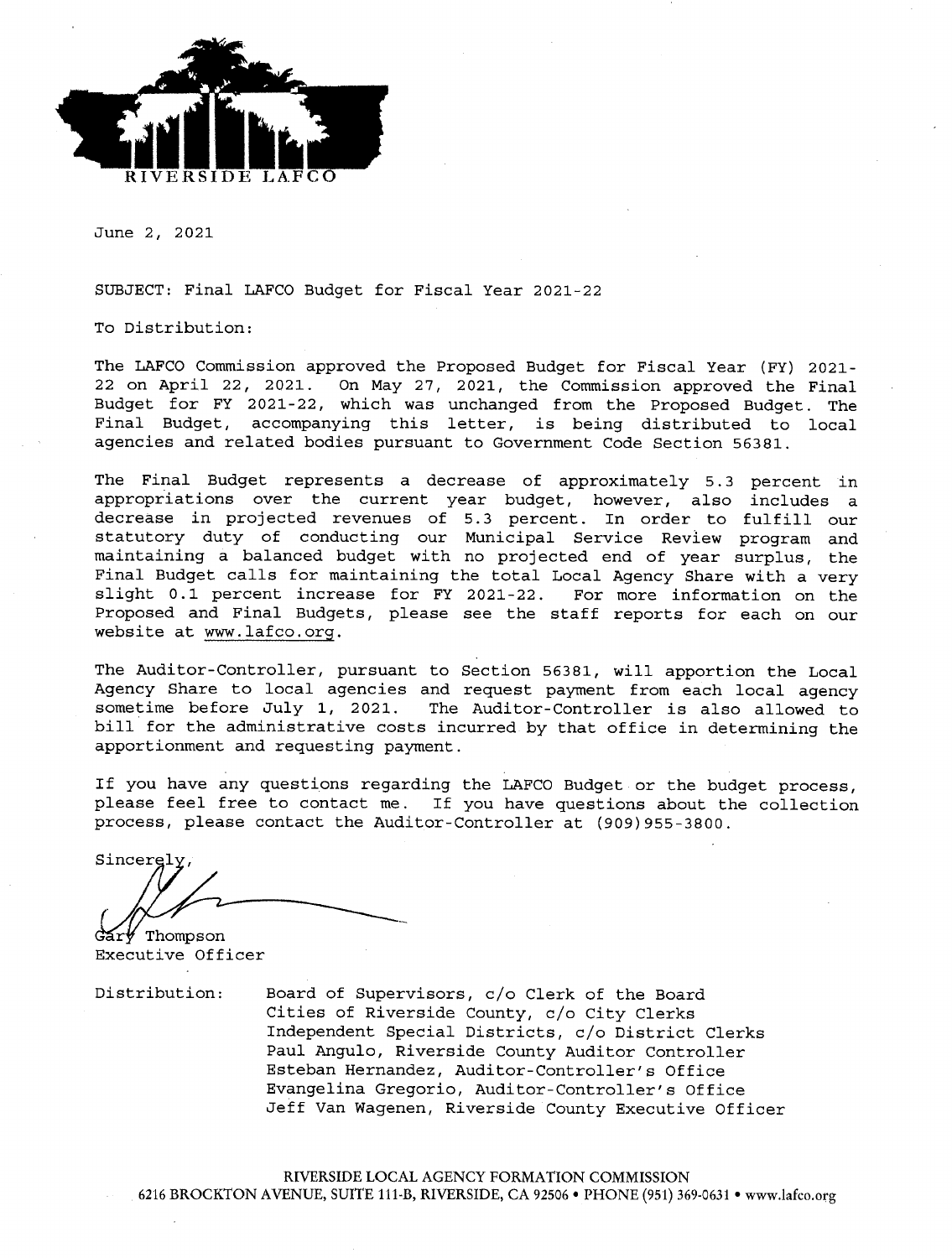

June 2, 2021

SUBJECT: Final LAFCO Budget for Fiscal Year 2021-22

To Distribution:

The LAFCO Commission approved the Proposed Budget for Fiscal Year (FY) 2021-22 on April 22, 2021. On May 27, 2021, the Commission approved the Final Budget for FY 2021-22, which was unchanged from the Proposed Budget. The Final Budget, accompanying this letter, is being distributed to local agencies and related bodies pursuant to Government Code Section 56381.

The Final Budget represents a decrease of approximately 5.3 percent in appropriations over the current year budget, however, also includes a decrease in projected revenues of 5.3 percent. In order to fulfill our statutory duty of conducting our Municipal Service Review program and maintaining a balanced budget with no projected end of year surplus, the Final Budget calls for maintaining the total Local Agency Share with a very slight 0.1 percent increase for FY 2021-22. For more information on the Proposed and Final Budgets, please see the staff reports for each on our website at www.lafco.org.

The Auditor-Controller, pursuant to Section 56381, will apportion the Local Agency Share to local agencies and request payment from each local agency sometime before July 1, 2021. The Auditor-Controller is also allowed to bill for the administrative costs incurred by that office in determining the apportionment and requesting payment.

If you have any questions regarding the LAFCO Budget or the budget process, please feel free to contact me. If you have questions about the collection process, please contact the Auditor-Controller at (909) 955-3800.

Sincerely

Thompson Executive Officer

Distribution:

Board of Supervisors, c/o Clerk of the Board Cities of Riverside County, c/o City Clerks Independent Special Districts, c/o District Clerks Paul Angulo, Riverside County Auditor Controller Esteban Hernandez, Auditor-Controller's Office Evangelina Gregorio, Auditor-Controller's Office Jeff Van Wagenen, Riverside County Executive Officer

RIVERSIDE LOCAL AGENCY FORMATION COMMISSION 6216 BROCKTON AVENUE, SUITE 111-B, RIVERSIDE, CA 92506 . PHONE (951) 369-0631 . www.lafco.org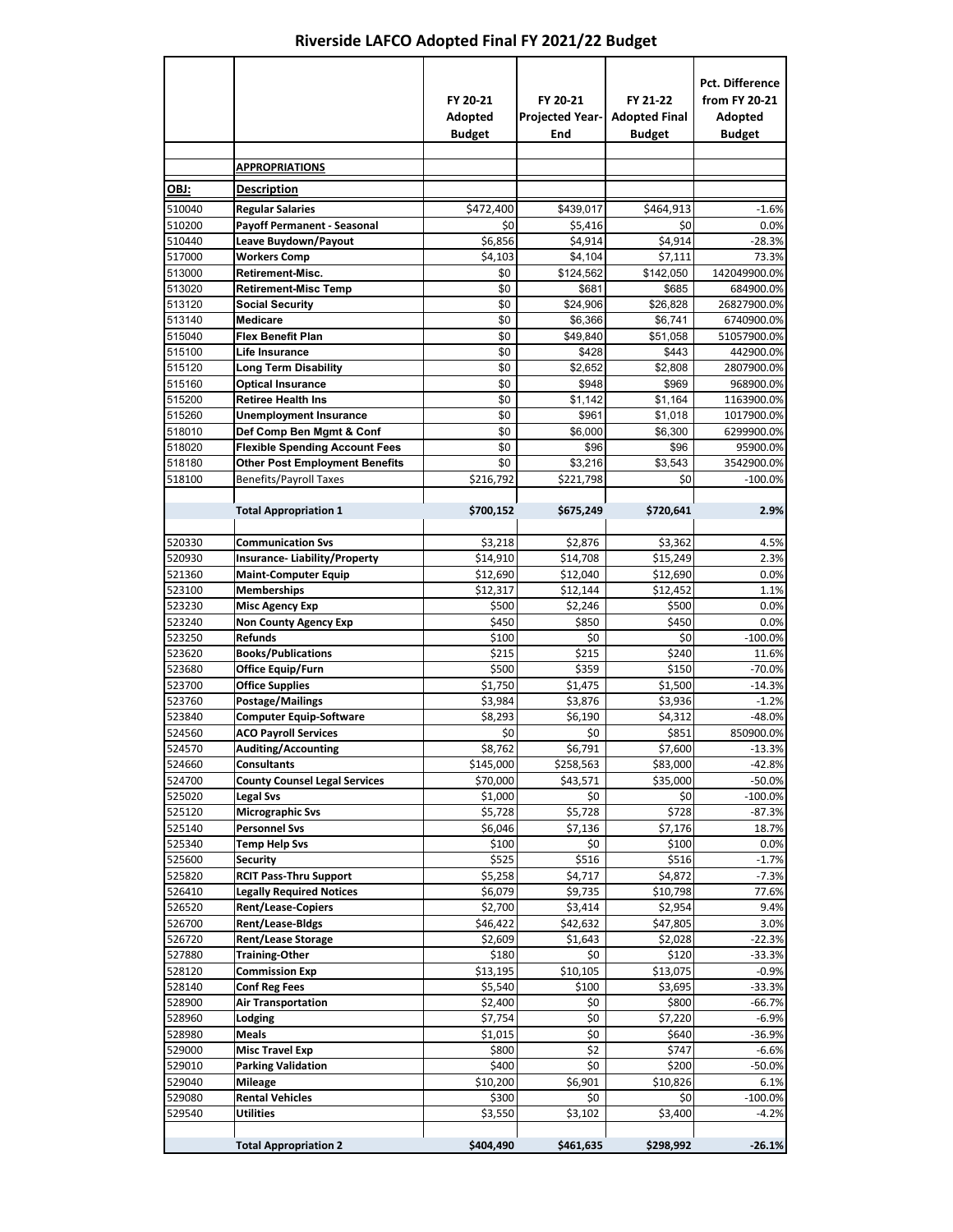## **Riverside LAFCO Adopted Final FY 2021/22 Budget**

 $\overline{\phantom{0}}$ 

|                  |                                                                        | FY 20-21<br>Adopted<br><b>Budget</b> | FY 20-21<br><b>Projected Year-</b><br>End | FY 21-22<br><b>Adopted Final</b><br><b>Budget</b> | <b>Pct. Difference</b><br>from FY 20-21<br>Adopted<br><b>Budget</b> |
|------------------|------------------------------------------------------------------------|--------------------------------------|-------------------------------------------|---------------------------------------------------|---------------------------------------------------------------------|
|                  | <u>APPROPRIATIONS</u>                                                  |                                      |                                           |                                                   |                                                                     |
| OBJ:             | <b>Description</b>                                                     |                                      |                                           |                                                   |                                                                     |
| 510040           | <b>Regular Salaries</b>                                                | \$472,400                            | \$439,017                                 | \$464,913                                         | $-1.6%$                                                             |
| 510200           | <b>Payoff Permanent - Seasonal</b>                                     | \$0                                  | \$5,416                                   | \$0                                               | 0.0%                                                                |
| 510440           | Leave Buydown/Payout                                                   | \$6,856                              | \$4,914                                   | \$4,914                                           | $-28.3%$                                                            |
| 517000           | <b>Workers Comp</b>                                                    | \$4,103                              | \$4,104                                   | \$7,111                                           | 73.3%                                                               |
| 513000           | <b>Retirement-Misc.</b>                                                | \$0                                  | \$124,562                                 | \$142,050                                         | 142049900.0%                                                        |
| 513020<br>513120 | <b>Retirement-Misc Temp</b><br><b>Social Security</b>                  | \$0<br>\$0                           | \$681<br>\$24,906                         | \$685<br>\$26,828                                 | 684900.0%<br>26827900.0%                                            |
| 513140           | <b>Medicare</b>                                                        | \$0                                  | \$6,366                                   | \$6,741                                           | 6740900.0%                                                          |
| 515040           | <b>Flex Benefit Plan</b>                                               | \$0                                  | \$49,840                                  | \$51,058                                          | 51057900.0%                                                         |
| 515100           | Life Insurance                                                         | \$0                                  | \$428                                     | \$443                                             | 442900.0%                                                           |
| 515120           | <b>Long Term Disability</b>                                            | \$0                                  | \$2,652                                   | \$2,808                                           | 2807900.0%                                                          |
| 515160           | <b>Optical Insurance</b>                                               | \$0                                  | \$948                                     | \$969                                             | 968900.0%                                                           |
| 515200           | <b>Retiree Health Ins</b>                                              | \$0                                  | \$1,142                                   | \$1,164                                           | 1163900.0%                                                          |
| 515260           | <b>Unemployment Insurance</b>                                          | \$0                                  | \$961                                     | \$1.018                                           | 1017900.0%                                                          |
| 518010           | Def Comp Ben Mgmt & Conf                                               | \$0                                  | \$6,000                                   | \$6,300                                           | 6299900.0%                                                          |
| 518020<br>518180 | <b>Flexible Spending Account Fees</b>                                  | \$0<br>\$0                           | \$96                                      | \$96                                              | 95900.0%<br>3542900.0%                                              |
| 518100           | <b>Other Post Employment Benefits</b><br><b>Benefits/Payroll Taxes</b> | \$216,792                            | \$3,216<br>\$221,798                      | \$3,543<br>\$0                                    | $-100.0%$                                                           |
|                  |                                                                        |                                      |                                           |                                                   |                                                                     |
|                  | <b>Total Appropriation 1</b>                                           | \$700,152                            | \$675,249                                 | \$720,641                                         | 2.9%                                                                |
| 520330           | <b>Communication Svs</b>                                               | \$3,218                              | \$2,876                                   | \$3,362                                           | 4.5%                                                                |
| 520930           | <b>Insurance-Liability/Property</b>                                    | \$14,910                             | \$14,708                                  | \$15,249                                          | 2.3%                                                                |
| 521360           | <b>Maint-Computer Equip</b>                                            | \$12,690                             | \$12,040                                  | \$12,690                                          | 0.0%                                                                |
| 523100           | <b>Memberships</b>                                                     | \$12,317                             | \$12,144                                  | \$12,452                                          | 1.1%                                                                |
| 523230           | <b>Misc Agency Exp</b>                                                 | \$500                                | \$2,246                                   | \$500                                             | 0.0%                                                                |
| 523240           | <b>Non County Agency Exp</b>                                           | \$450                                | \$850                                     | \$450                                             | 0.0%                                                                |
| 523250<br>523620 | <b>Refunds</b><br><b>Books/Publications</b>                            | \$100<br>\$215                       | \$0<br>\$215                              | \$0<br>\$240                                      | $-100.0%$<br>11.6%                                                  |
| 523680           | Office Equip/Furn                                                      | \$500                                | \$359                                     | \$150                                             | $-70.0%$                                                            |
| 523700           | <b>Office Supplies</b>                                                 | \$1,750                              | \$1,475                                   | \$1,500                                           | $-14.3%$                                                            |
| 523760           | Postage/Mailings                                                       | \$3,984                              | \$3,876                                   | \$3,936                                           | $-1.2%$                                                             |
| 523840           | <b>Computer Equip-Software</b>                                         | \$8,293                              | \$6,190                                   | \$4,312                                           | $-48.0%$                                                            |
| 524560           | <b>ACO Payroll Services</b>                                            | \$0                                  | \$0                                       | \$851                                             | 850900.0%                                                           |
| 524570           | <b>Auditing/Accounting</b>                                             | \$8,762                              | \$6,791                                   | \$7,600                                           | $-13.3%$                                                            |
| 524660           | Consultants                                                            | \$145,000                            | \$258,563                                 | \$83,000                                          | -42.8%                                                              |
| 524700           | <b>County Counsel Legal Services</b>                                   | \$70,000                             | \$43,571                                  | \$35,000                                          | $-50.0%$                                                            |
| 525020<br>525120 | <b>Legal Svs</b><br><b>Micrographic Svs</b>                            | \$1,000<br>\$5,728                   | \$0<br>\$5,728                            | \$0<br>\$728                                      | $-100.0%$<br>$-87.3%$                                               |
| 525140           | <b>Personnel Svs</b>                                                   | \$6,046                              | \$7,136                                   | \$7,176                                           | 18.7%                                                               |
| 525340           | <b>Temp Help Svs</b>                                                   | \$100                                | \$0                                       | \$100                                             | 0.0%                                                                |
| 525600           | <b>Security</b>                                                        | \$525                                | \$516                                     | \$516                                             | $-1.7%$                                                             |
| 525820           | <b>RCIT Pass-Thru Support</b>                                          | \$5,258                              | \$4,717                                   | \$4,872                                           | $-7.3%$                                                             |
| 526410           | <b>Legally Required Notices</b>                                        | \$6,079                              | \$9,735                                   | \$10,798                                          | 77.6%                                                               |
| 526520           | <b>Rent/Lease-Copiers</b>                                              | \$2,700                              | \$3,414                                   | \$2,954                                           | 9.4%                                                                |
| 526700           | <b>Rent/Lease-Bldgs</b>                                                | \$46,422                             | \$42,632                                  | \$47,805                                          | 3.0%                                                                |
| 526720<br>527880 | <b>Rent/Lease Storage</b><br><b>Training-Other</b>                     | \$2,609<br>\$180                     | \$1,643<br>\$0                            | \$2,028<br>\$120                                  | $-22.3%$<br>$-33.3%$                                                |
| 528120           | <b>Commission Exp</b>                                                  | \$13,195                             | \$10,105                                  | \$13,075                                          | $-0.9%$                                                             |
| 528140           | <b>Conf Reg Fees</b>                                                   | \$5,540                              | \$100                                     | \$3,695                                           | $-33.3%$                                                            |
| 528900           | <b>Air Transportation</b>                                              | \$2,400                              | \$0                                       | \$800                                             | $-66.7%$                                                            |
| 528960           | Lodging                                                                | \$7,754                              | \$0                                       | \$7,220                                           | $-6.9%$                                                             |
| 528980           | Meals                                                                  | \$1,015                              | \$0                                       | \$640                                             | -36.9%                                                              |
| 529000           | <b>Misc Travel Exp</b>                                                 | \$800                                | \$2                                       | \$747                                             | $-6.6%$                                                             |
| 529010           | <b>Parking Validation</b>                                              | \$400                                | \$0                                       | \$200                                             | $-50.0%$                                                            |
| 529040           | <b>Mileage</b>                                                         | \$10,200                             | \$6,901                                   | \$10,826                                          | 6.1%                                                                |
| 529080           | <b>Rental Vehicles</b>                                                 | \$300                                | \$0                                       | \$0                                               | $-100.0%$                                                           |
| 529540           | <b>Utilities</b>                                                       | \$3,550                              | \$3,102                                   | \$3,400                                           | $-4.2%$                                                             |
|                  | <b>Total Appropriation 2</b>                                           | \$404,490                            | \$461,635                                 | \$298,992                                         | $-26.1%$                                                            |